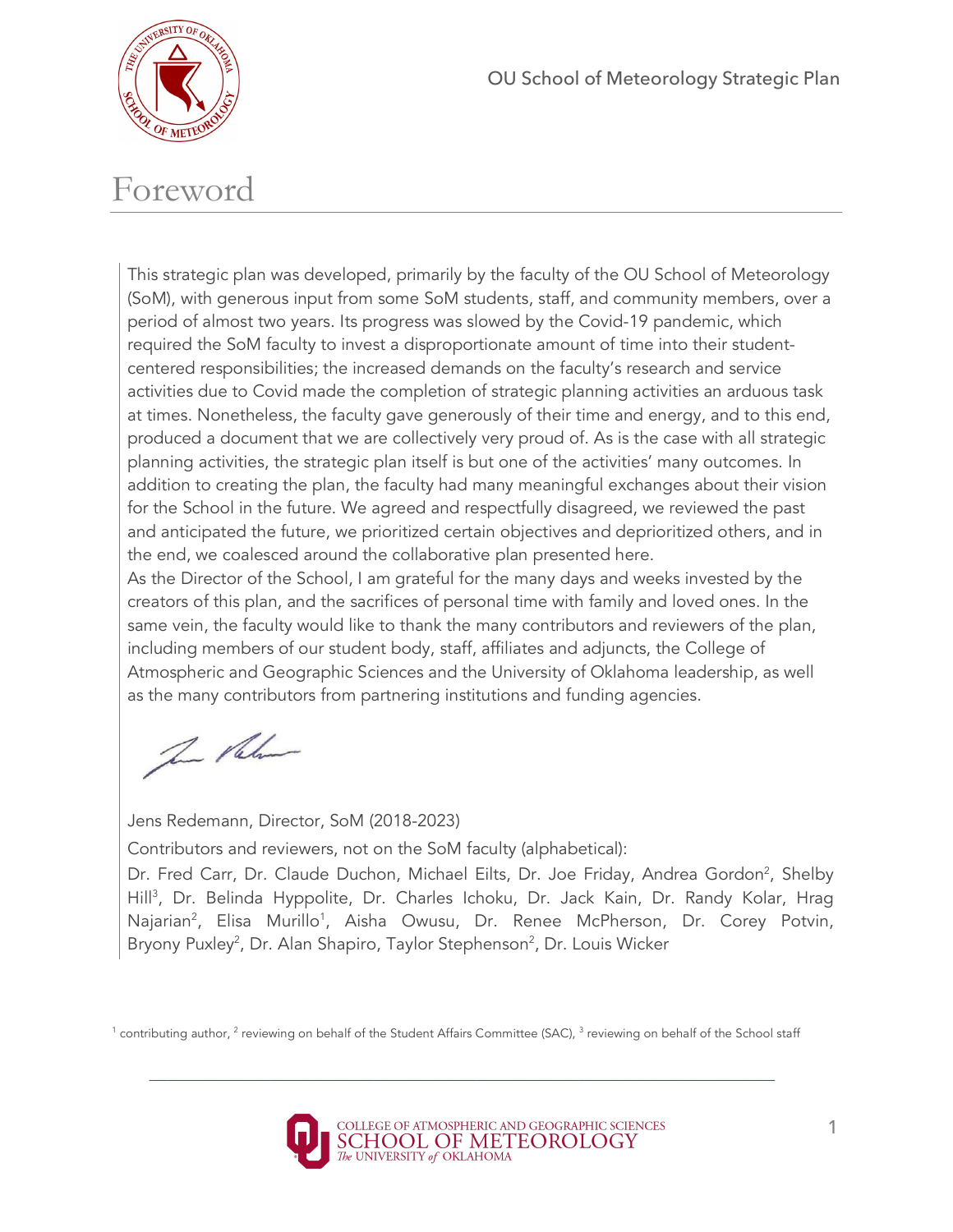

# Foreword

This strategic plan was developed, primarily by the faculty of the OU School of Meteorology (SoM), with generous input from some SoM students, staff, and community members, over a period of almost two years. Its progress was slowed by the Covid-19 pandemic, which required the SoM faculty to invest a disproportionate amount of time into their studentcentered responsibilities; the increased demands on the faculty's research and service activities due to Covid made the completion of strategic planning activities an arduous task at times. Nonetheless, the faculty gave generously of their time and energy, and to this end, produced a document that we are collectively very proud of. As is the case with all strategic planning activities, the strategic plan itself is but one of the activities' many outcomes. In addition to creating the plan, the faculty had many meaningful exchanges about their vision for the School in the future. We agreed and respectfully disagreed, we reviewed the past and anticipated the future, we prioritized certain objectives and deprioritized others, and in the end, we coalesced around the collaborative plan presented here.

As the Director of the School, I am grateful for the many days and weeks invested by the creators of this plan, and the sacrifices of personal time with family and loved ones. In the same vein, the faculty would like to thank the many contributors and reviewers of the plan, including members of our student body, staff, affiliates and adjuncts, the College of Atmospheric and Geographic Sciences and the University of Oklahoma leadership, as well as the many contributors from partnering institutions and funding agencies.

The Palmer

Jens Redemann, Director, SoM (2018-2023)

Contributors and reviewers, not on the SoM faculty (alphabetical):

Dr. Fred Carr, Dr. Claude Duchon, Michael Eilts, Dr. Joe Friday, Andrea Gordon<sup>2</sup>, Shelby Hill<sup>3</sup>, Dr. Belinda Hyppolite, Dr. Charles Ichoku, Dr. Jack Kain, Dr. Randy Kolar, Hrag Najarian<sup>2</sup>, Elisa Murillo<sup>1</sup>, Aisha Owusu, Dr. Renee McPherson, Dr. Corey Potvin, Bryony Puxley<sup>2</sup>, Dr. Alan Shapiro, Taylor Stephenson<sup>2</sup>, Dr. Louis Wicker



<sup>&</sup>lt;sup>1</sup> contributing author, <sup>2</sup> reviewing on behalf of the Student Affairs Committee (SAC),  $3$  reviewing on behalf of the School staff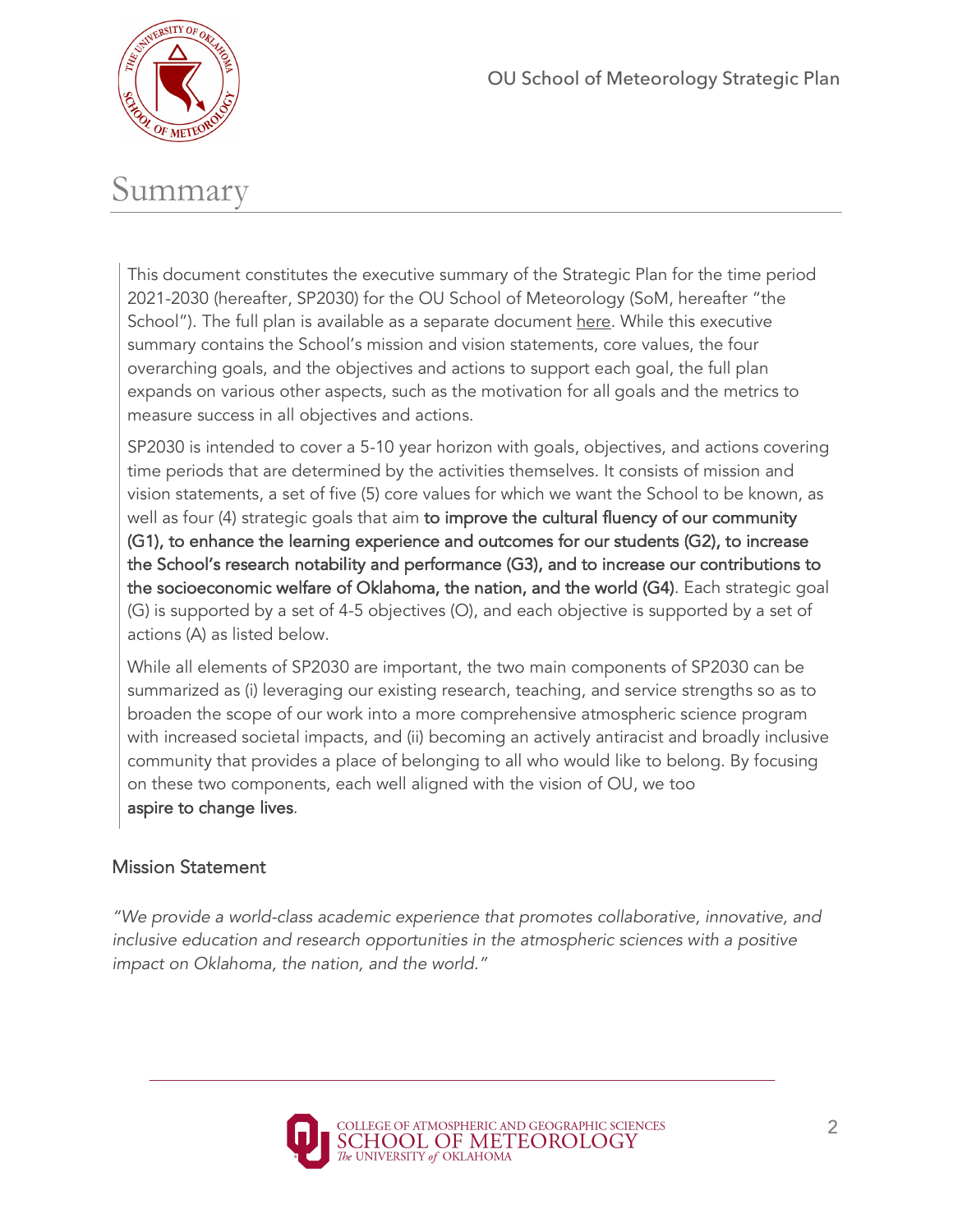

# Summary

This document constitutes the executive summary of the Strategic Plan for the time period 2021-2030 (hereafter, SP2030) for the OU School of Meteorology (SoM, hereafter "the School"). The full plan is available as a separate document here. While this executive summary contains the School's mission and vision statements, core values, the four overarching goals, and the objectives and actions to support each goal, the full plan expands on various other aspects, such as the motivation for all goals and the metrics to measure success in all objectives and actions.

SP2030 is intended to cover a 5-10 year horizon with goals, objectives, and actions covering time periods that are determined by the activities themselves. It consists of mission and vision statements, a set of five (5) core values for which we want the School to be known, as well as four (4) strategic goals that aim to improve the cultural fluency of our community (G1), to enhance the learning experience and outcomes for our students (G2), to increase the School's research notability and performance (G3), and to increase our contributions to the socioeconomic welfare of Oklahoma, the nation, and the world (G4). Each strategic goal (G) is supported by a set of 4-5 objectives (O), and each objective is supported by a set of actions (A) as listed below.

While all elements of SP2030 are important, the two main components of SP2030 can be summarized as (i) leveraging our existing research, teaching, and service strengths so as to broaden the scope of our work into a more comprehensive atmospheric science program with increased societal impacts, and (ii) becoming an actively antiracist and broadly inclusive community that provides a place of belonging to all who would like to belong. By focusing on these two components, each well aligned with the vision of OU, we too aspire to change lives.

#### Mission Statement

*"We provide a world-class academic experience that promotes collaborative, innovative, and*  inclusive education and research opportunities in the atmospheric sciences with a positive *impact on Oklahoma, the nation, and the world."*

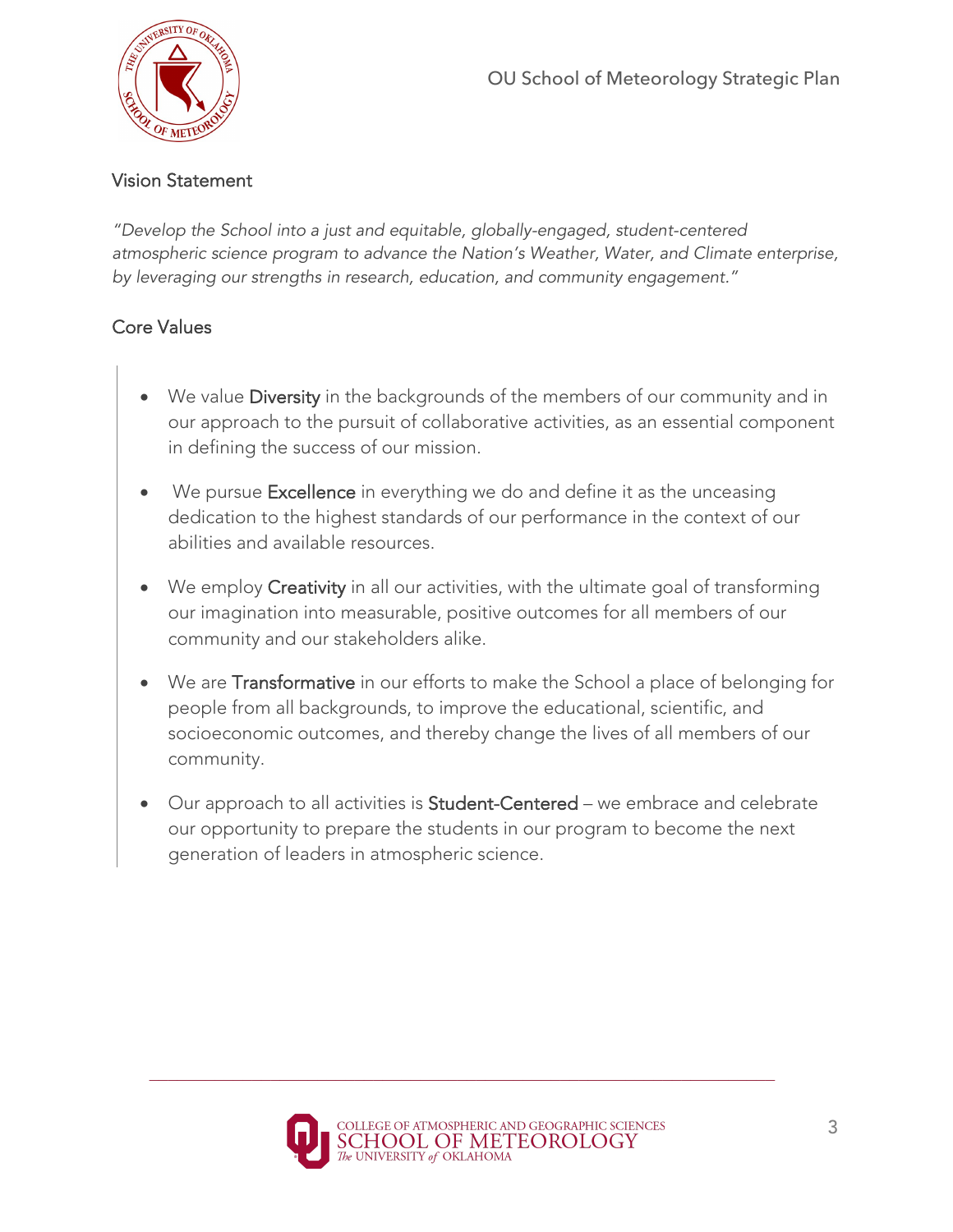

#### Vision Statement

*"Develop the School into a just and equitable, globally-engaged, student-centered atmospheric science program to advance the Nation's Weather, Water, and Climate enterprise, by leveraging our strengths in research, education, and community engagement."*

## Core Values

- We value Diversity in the backgrounds of the members of our community and in our approach to the pursuit of collaborative activities, as an essential component in defining the success of our mission.
- We pursue Excellence in everything we do and define it as the unceasing dedication to the highest standards of our performance in the context of our abilities and available resources.
- We employ Creativity in all our activities, with the ultimate goal of transforming our imagination into measurable, positive outcomes for all members of our community and our stakeholders alike.
- We are Transformative in our efforts to make the School a place of belonging for people from all backgrounds, to improve the educational, scientific, and socioeconomic outcomes, and thereby change the lives of all members of our community.
- Our approach to all activities is Student-Centered we embrace and celebrate our opportunity to prepare the students in our program to become the next generation of leaders in atmospheric science.

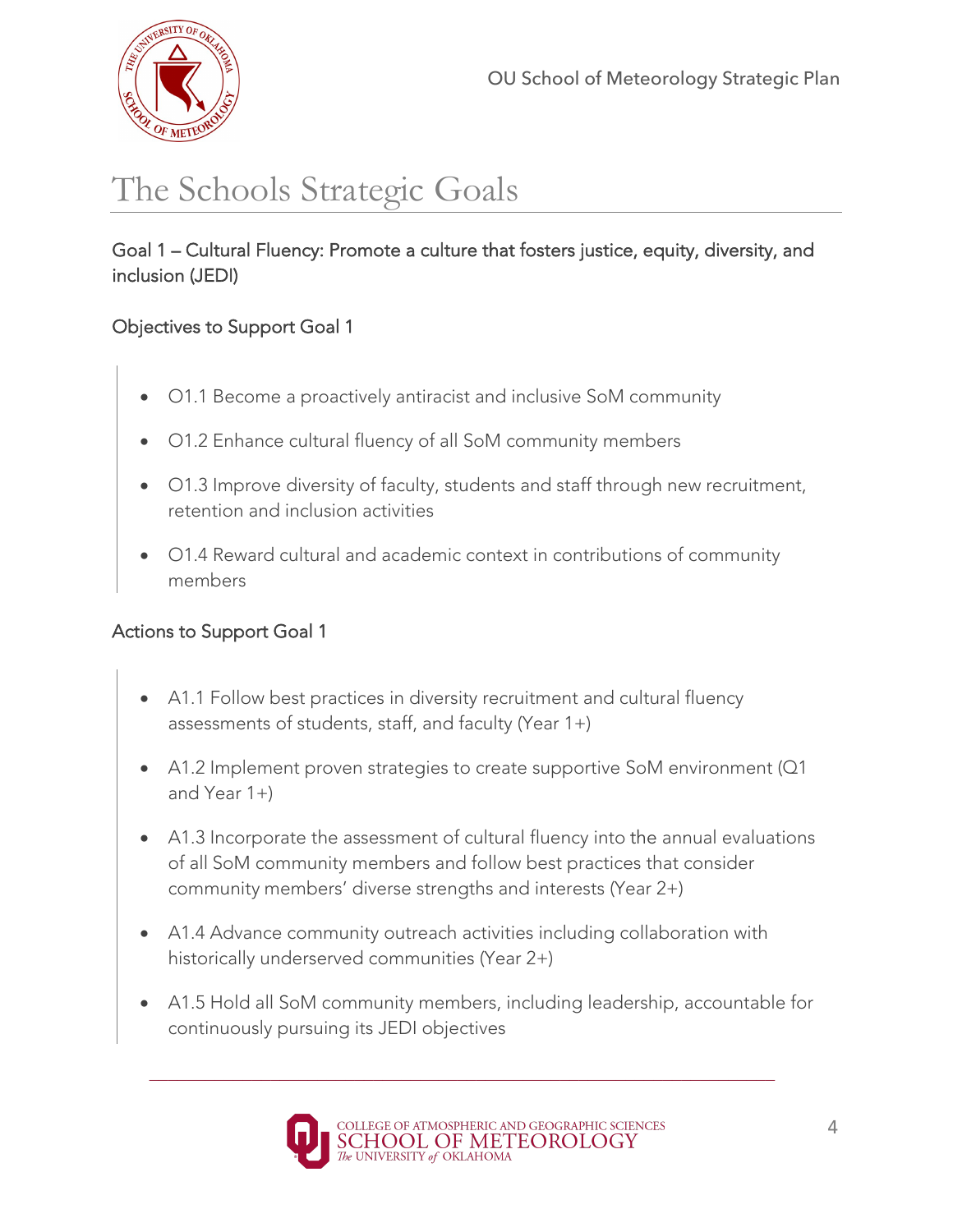

# The Schools Strategic Goals

Goal 1 – Cultural Fluency: Promote a culture that fosters justice, equity, diversity, and inclusion (JEDI)

## Objectives to Support Goal 1

- O1.1 Become a proactively antiracist and inclusive SoM community
- O1.2 Enhance cultural fluency of all SoM community members
- O1.3 Improve diversity of faculty, students and staff through new recruitment, retention and inclusion activities
- O1.4 Reward cultural and academic context in contributions of community members

- A1.1 Follow best practices in diversity recruitment and cultural fluency assessments of students, staff, and faculty (Year 1+)
- A1.2 Implement proven strategies to create supportive SoM environment (Q1 and Year 1+)
- A1.3 Incorporate the assessment of cultural fluency into the annual evaluations of all SoM community members and follow best practices that consider community members' diverse strengths and interests (Year 2+)
- A1.4 Advance community outreach activities including collaboration with historically underserved communities (Year 2+)
- A1.5 Hold all SoM community members, including leadership, accountable for continuously pursuing its JEDI objectives

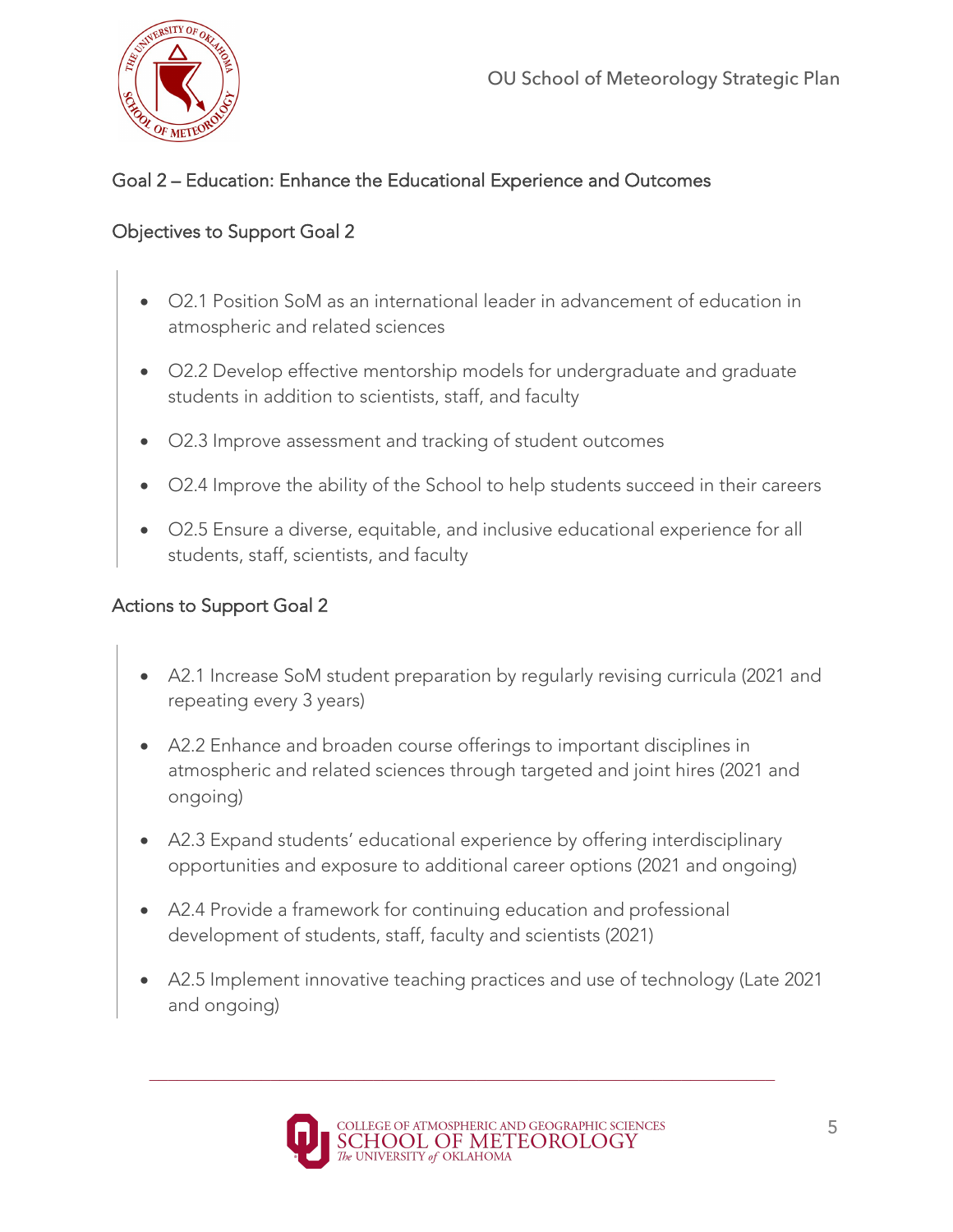

## Goal 2 – Education: Enhance the Educational Experience and Outcomes

#### Objectives to Support Goal 2

- O2.1 Position SoM as an international leader in advancement of education in atmospheric and related sciences
- O2.2 Develop effective mentorship models for undergraduate and graduate students in addition to scientists, staff, and faculty
- O2.3 Improve assessment and tracking of student outcomes
- O2.4 Improve the ability of the School to help students succeed in their careers
- O2.5 Ensure a diverse, equitable, and inclusive educational experience for all students, staff, scientists, and faculty

- A2.1 Increase SoM student preparation by regularly revising curricula (2021 and repeating every 3 years)
- A2.2 Enhance and broaden course offerings to important disciplines in atmospheric and related sciences through targeted and joint hires (2021 and ongoing)
- A2.3 Expand students' educational experience by offering interdisciplinary opportunities and exposure to additional career options (2021 and ongoing)
- A2.4 Provide a framework for continuing education and professional development of students, staff, faculty and scientists (2021)
- A2.5 Implement innovative teaching practices and use of technology (Late 2021 and ongoing)

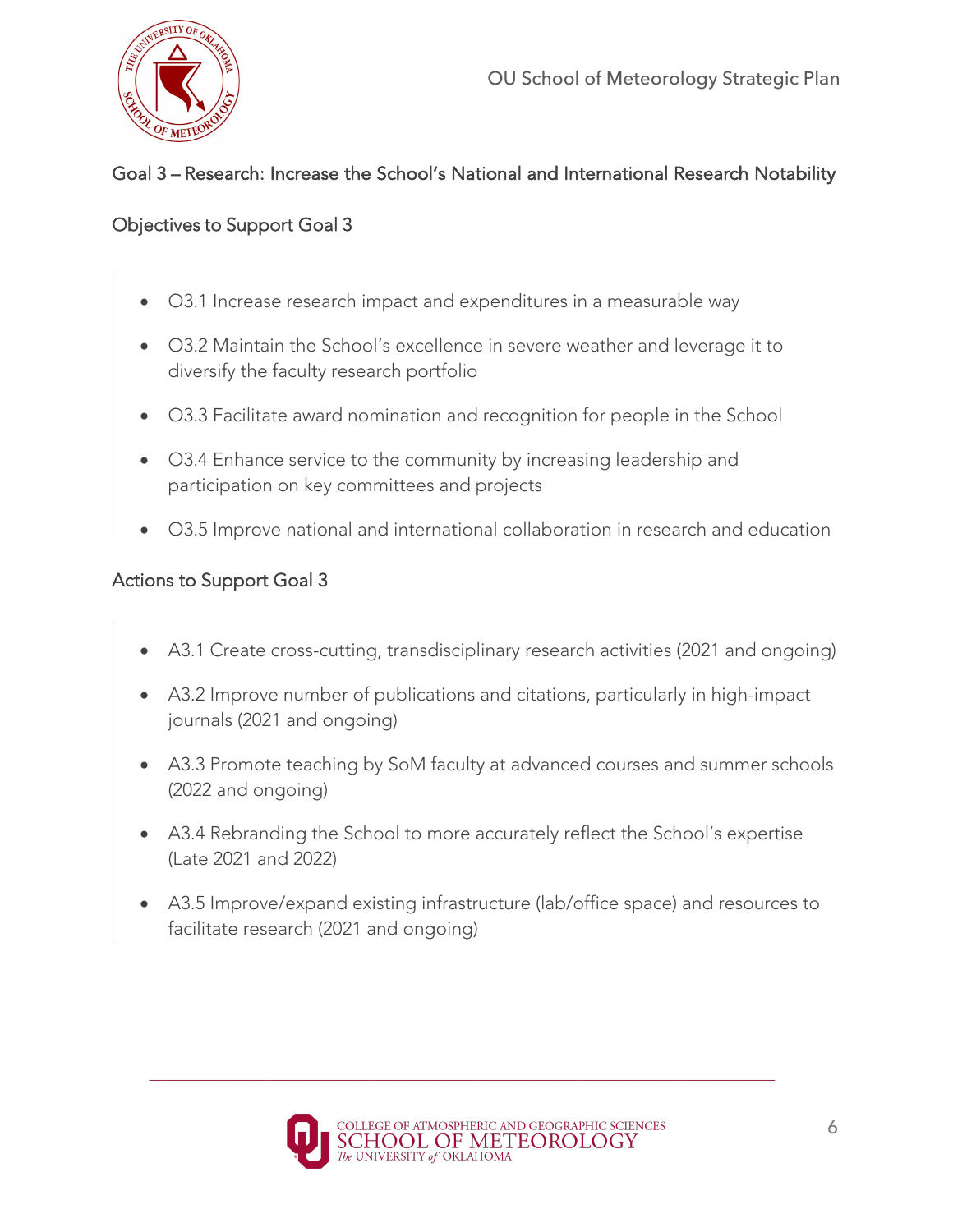

# Goal 3 – Research: Increase the School's National and International Research Notability

#### Objectives to Support Goal 3

- O3.1 Increase research impact and expenditures in a measurable way
- O3.2 Maintain the School's excellence in severe weather and leverage it to diversify the faculty research portfolio
- O3.3 Facilitate award nomination and recognition for people in the School
- O3.4 Enhance service to the community by increasing leadership and participation on key committees and projects
- O3.5 Improve national and international collaboration in research and education

- A3.1 Create cross-cutting, transdisciplinary research activities (2021 and ongoing)
- A3.2 Improve number of publications and citations, particularly in high-impact journals (2021 and ongoing)
- A3.3 Promote teaching by SoM faculty at advanced courses and summer schools (2022 and ongoing)
- A3.4 Rebranding the School to more accurately reflect the School's expertise (Late 2021 and 2022)
- A3.5 Improve/expand existing infrastructure (lab/office space) and resources to facilitate research (2021 and ongoing)

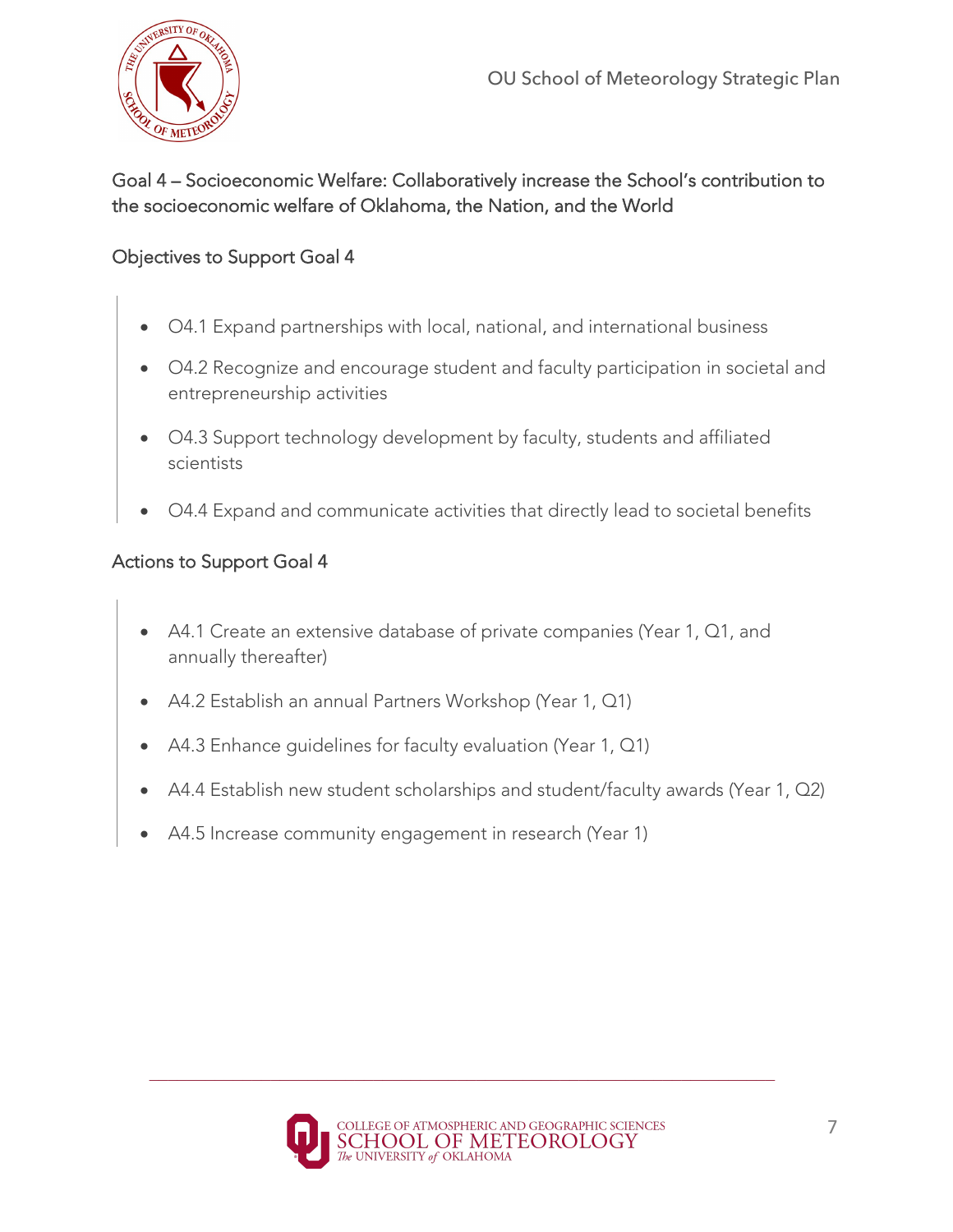

## Goal 4 – Socioeconomic Welfare: Collaboratively increase the School's contribution to the socioeconomic welfare of Oklahoma, the Nation, and the World

#### Objectives to Support Goal 4

- O4.1 Expand partnerships with local, national, and international business
- O4.2 Recognize and encourage student and faculty participation in societal and entrepreneurship activities
- O4.3 Support technology development by faculty, students and affiliated scientists
- O4.4 Expand and communicate activities that directly lead to societal benefits

- A4.1 Create an extensive database of private companies (Year 1, Q1, and annually thereafter)
- A4.2 Establish an annual Partners Workshop (Year 1, Q1)
- A4.3 Enhance guidelines for faculty evaluation (Year 1, Q1)
- A4.4 Establish new student scholarships and student/faculty awards (Year 1, Q2)
- A4.5 Increase community engagement in research (Year 1)

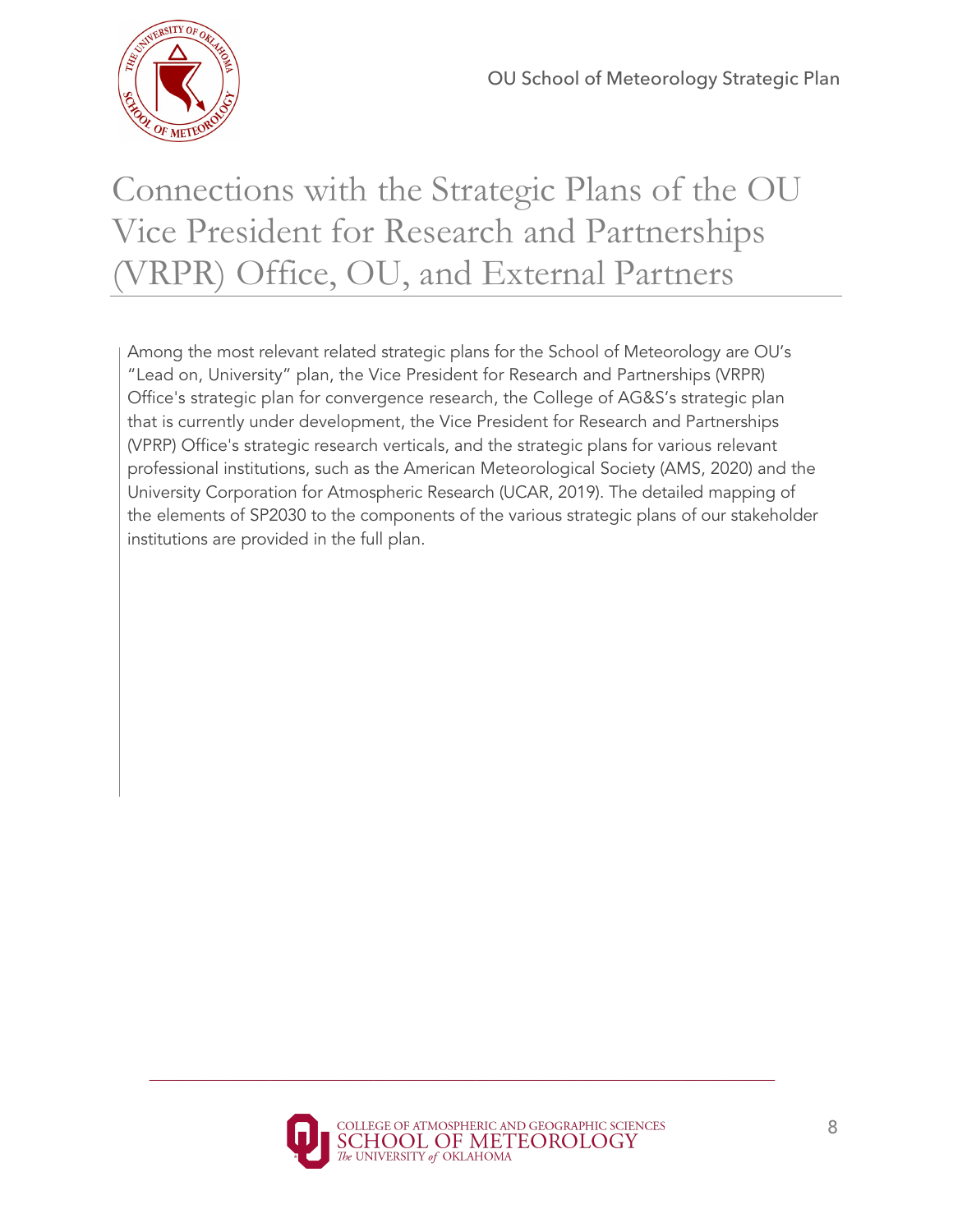

# Connections with the Strategic Plans of the OU Vice President for Research and Partnerships (VRPR) Office, OU, and External Partners

Among the most relevant related strategic plans for the School of Meteorology are OU's "Lead on, University" plan, the Vice President for Research and Partnerships (VRPR) Office's strategic plan for convergence research, the College of AG&S's strategic plan that is currently under development, the Vice President for Research and Partnerships (VPRP) Office's strategic research verticals, and the strategic plans for various relevant professional institutions, such as the American Meteorological Society (AMS, 2020) and the University Corporation for Atmospheric Research (UCAR, 2019). The detailed mapping of the elements of SP2030 to the components of the various strategic plans of our stakeholder institutions are provided in the full plan.